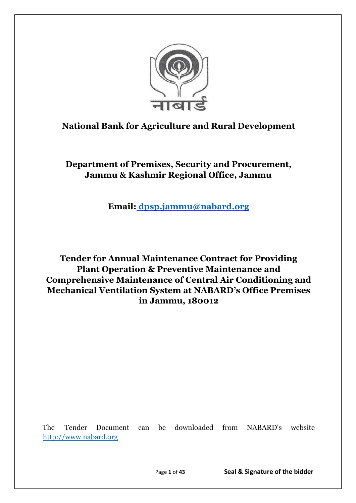

# **National Bank for Agriculture and Rural Development**

**Department of Premises, Security and Procurement, Jammu & Kashmir Regional Office, Jammu**

**Email: [dpsp.jammu@nabard.org](mailto:dpsp.jammu@nabard.org)**

**Tender for Annual Maintenance Contract for Providing Plant Operation & Preventive Maintenance and Comprehensive Maintenance of Central Air Conditioning and Mechanical Ventilation System at NABARD's Office Premises in Jammu, 180012**

The Tender Document can be downloaded from NABARD's website [http://www.nabard.org](http://www.nabard.org/)

Page **1** of **43 Seal & Signature of the bidder**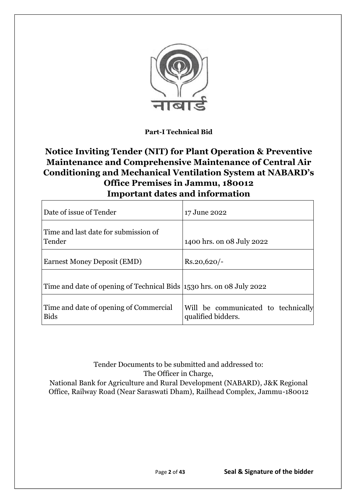

**Part-I Technical Bid** 

# **Notice Inviting Tender (NIT) for Plant Operation & Preventive Maintenance and Comprehensive Maintenance of Central Air Conditioning and Mechanical Ventilation System at NABARD's Office Premises in Jammu, 180012 Important dates and information**

| Date of issue of Tender                                              | 17 June 2022                                              |
|----------------------------------------------------------------------|-----------------------------------------------------------|
| Time and last date for submission of<br>Tender                       | 1400 hrs. on 08 July 2022                                 |
| Earnest Money Deposit (EMD)                                          | $Rs.20,620/-$                                             |
| Time and date of opening of Technical Bids 1530 hrs. on 08 July 2022 |                                                           |
| Time and date of opening of Commercial<br><b>Bids</b>                | Will be communicated to technically<br>qualified bidders. |

Tender Documents to be submitted and addressed to: The Officer in Charge, National Bank for Agriculture and Rural Development (NABARD), J&K Regional Office, Railway Road (Near Saraswati Dham), Railhead Complex, Jammu-180012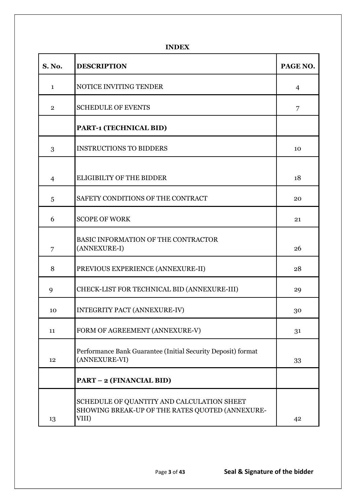**INDEX**

| <b>S. No.</b>  | <b>DESCRIPTION</b>                                                                                     | PAGE NO.       |
|----------------|--------------------------------------------------------------------------------------------------------|----------------|
| $\mathbf{1}$   | NOTICE INVITING TENDER                                                                                 | $\overline{4}$ |
| $\overline{2}$ | <b>SCHEDULE OF EVENTS</b>                                                                              | 7              |
|                | PART-1 (TECHNICAL BID)                                                                                 |                |
| 3              | <b>INSTRUCTIONS TO BIDDERS</b>                                                                         | 10             |
| $\overline{4}$ | ELIGIBILTY OF THE BIDDER                                                                               | 18             |
| 5              | SAFETY CONDITIONS OF THE CONTRACT                                                                      | 20             |
| 6              | <b>SCOPE OF WORK</b>                                                                                   | 21             |
| 7              | BASIC INFORMATION OF THE CONTRACTOR<br>(ANNEXURE-I)                                                    | 26             |
| 8              | PREVIOUS EXPERIENCE (ANNEXURE-II)                                                                      | 28             |
| 9              | CHECK-LIST FOR TECHNICAL BID (ANNEXURE-III)                                                            | 29             |
| 10             | <b>INTEGRITY PACT (ANNEXURE-IV)</b>                                                                    | 30             |
| 11             | FORM OF AGREEMENT (ANNEXURE-V)                                                                         | 31             |
| 12             | Performance Bank Guarantee (Initial Security Deposit) format<br>(ANNEXURE-VI)                          | 33             |
|                | <b>PART - 2 (FINANCIAL BID)</b>                                                                        |                |
| 13             | SCHEDULE OF QUANTITY AND CALCULATION SHEET<br>SHOWING BREAK-UP OF THE RATES QUOTED (ANNEXURE-<br>VIII) | 42             |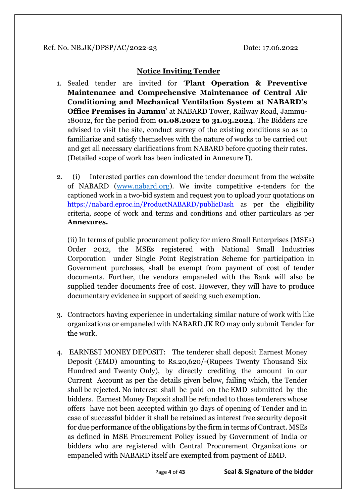# **Notice Inviting Tender**

- 1. Sealed tender are invited for '**Plant Operation & Preventive Maintenance and Comprehensive Maintenance of Central Air Conditioning and Mechanical Ventilation System at NABARD's Office Premises in Jammu**' at NABARD Tower, Railway Road, Jammu-180012, for the period from **01.08.2022 to 31.03.2024**. The Bidders are advised to visit the site, conduct survey of the existing conditions so as to familiarize and satisfy themselves with the nature of works to be carried out and get all necessary clarifications from NABARD before quoting their rates. (Detailed scope of work has been indicated in Annexure I).
- 2. (i) Interested parties can download the tender document from the website of NABARD [\(www.nabard.org\)](http://www.nabard.org/). We invite competitive e-tenders for the captioned work in a two-bid system and request you to upload your quotations on https://nabard.eproc.in/ProductNABARD/publicDash as per the eligibility criteria, scope of work and terms and conditions and other particulars as per **Annexures.**

(ii) In terms of public procurement policy for micro Small Enterprises (MSEs) Order 2012, the MSEs registered with National Small Industries Corporation under Single Point Registration Scheme for participation in Government purchases, shall be exempt from payment of cost of tender documents. Further, the vendors empaneled with the Bank will also be supplied tender documents free of cost. However, they will have to produce documentary evidence in support of seeking such exemption.

- 3. Contractors having experience in undertaking similar nature of work with like organizations or empaneled with NABARD JK RO may only submit Tender for the work.
- 4. EARNEST MONEY DEPOSIT: The tenderer shall deposit Earnest Money Deposit (EMD) amounting to Rs.20,620/-(Rupees Twenty Thousand Six Hundred and Twenty Only), by directly crediting the amount in our Current Account as per the details given below, failing which, the Tender shall be rejected. No interest shall be paid on the EMD submitted by the bidders. Earnest Money Deposit shall be refunded to those tenderers whose offers have not been accepted within 30 days of opening of Tender and in case of successful bidder it shall be retained as interest free security deposit for due performance of the obligations by the firm in terms of Contract. MSEs as defined in MSE Procurement Policy issued by Government of India or bidders who are registered with Central Procurement Organizations or empaneled with NABARD itself are exempted from payment of EMD.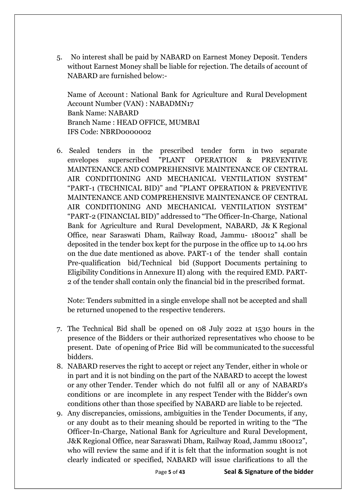5. No interest shall be paid by NABARD on Earnest Money Deposit. Tenders without Earnest Money shall be liable for rejection. The details of account of NABARD are furnished below:-

Name of Account : National Bank for Agriculture and Rural Development Account Number (VAN) : NABADMN17 Bank Name: NABARD Branch Name : HEAD OFFICE, MUMBAI IFS Code: NBRD0000002

6. Sealed tenders in the prescribed tender form in two separate envelopes superscribed "PLANT OPERATION & PREVENTIVE MAINTENANCE AND COMPREHENSIVE MAINTENANCE OF CENTRAL AIR CONDITIONING AND MECHANICAL VENTILATION SYSTEM" "PART-1 (TECHNICAL BID)" and "PLANT OPERATION & PREVENTIVE MAINTENANCE AND COMPREHENSIVE MAINTENANCE OF CENTRAL AIR CONDITIONING AND MECHANICAL VENTILATION SYSTEM" "PART-2 (FINANCIAL BID)" addressed to "The Officer-In-Charge, National Bank for Agriculture and Rural Development, NABARD, J& K Regional Office, near Saraswati Dham, Railway Road, Jammu- 180012" shall be deposited in the tender box kept for the purpose in the office up to 14.00 hrs on the due date mentioned as above. PART-1 of the tender shall contain Pre-qualification bid/Technical bid (Support Documents pertaining to Eligibility Conditions in Annexure II) along with the required EMD. PART-2 of the tender shall contain only the financial bid in the prescribed format.

Note: Tenders submitted in a single envelope shall not be accepted and shall be returned unopened to the respective tenderers.

- 7. The Technical Bid shall be opened on 08 July 2022 at 1530 hours in the presence of the Bidders or their authorized representatives who choose to be present. Date of opening of Price Bid will be communicated to the successful bidders.
- 8. NABARD reserves the right to accept or reject any Tender, either in whole or in part and it is not binding on the part of the NABARD to accept the lowest or any other Tender. Tender which do not fulfil all or any of NABARD's conditions or are incomplete in any respect Tender with the Bidder's own conditions other than those specified by NABARD are liable to be rejected.
- 9. Any discrepancies, omissions, ambiguities in the Tender Documents, if any, or any doubt as to their meaning should be reported in writing to the "The Officer-In-Charge, National Bank for Agriculture and Rural Development, J&K Regional Office, near Saraswati Dham, Railway Road, Jammu 180012", who will review the same and if it is felt that the information sought is not clearly indicated or specified, NABARD will issue clarifications to all the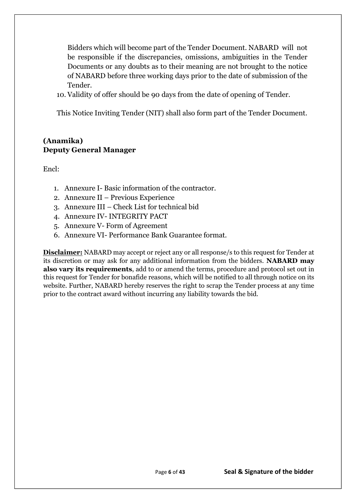Bidders which will become part of the Tender Document. NABARD will not be responsible if the discrepancies, omissions, ambiguities in the Tender Documents or any doubts as to their meaning are not brought to the notice of NABARD before three working days prior to the date of submission of the Tender.

10. Validity of offer should be 90 days from the date of opening of Tender.

This Notice Inviting Tender (NIT) shall also form part of the Tender Document.

# **(Anamika) Deputy General Manager**

Encl:

- 1. Annexure I- Basic information of the contractor.
- 2. Annexure II Previous Experience
- 3. Annexure III Check List for technical bid
- 4. Annexure IV- INTEGRITY PACT
- 5. Annexure V- Form of Agreement
- 6. Annexure VI- Performance Bank Guarantee format.

**Disclaimer:** NABARD may accept or reject any or all response/s to this request for Tender at its discretion or may ask for any additional information from the bidders. **NABARD may also vary its requirements**, add to or amend the terms, procedure and protocol set out in this request for Tender for bonafide reasons, which will be notified to all through notice on its website. Further, NABARD hereby reserves the right to scrap the Tender process at any time prior to the contract award without incurring any liability towards the bid.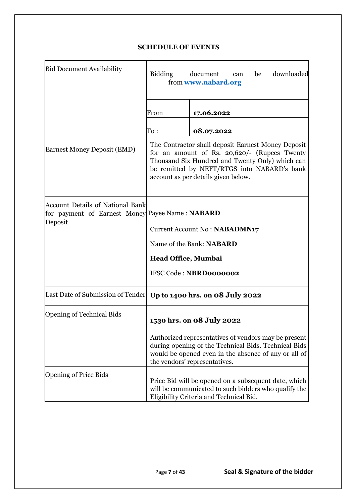# **SCHEDULE OF EVENTS**

| <b>Bid Document Availability</b>                                                                      | downloaded<br>Bidding<br>document<br>be<br>can<br>from www.nabard.org                                                                                                                                                                       |                                                                                                                                                                                                       |  |  |  |
|-------------------------------------------------------------------------------------------------------|---------------------------------------------------------------------------------------------------------------------------------------------------------------------------------------------------------------------------------------------|-------------------------------------------------------------------------------------------------------------------------------------------------------------------------------------------------------|--|--|--|
|                                                                                                       | From                                                                                                                                                                                                                                        | 17.06.2022                                                                                                                                                                                            |  |  |  |
|                                                                                                       | $\mathrm{To}:\ \;$                                                                                                                                                                                                                          | 08.07.2022                                                                                                                                                                                            |  |  |  |
| <b>Earnest Money Deposit (EMD)</b>                                                                    | The Contractor shall deposit Earnest Money Deposit<br>for an amount of Rs. 20,620/- (Rupees Twenty<br>Thousand Six Hundred and Twenty Only) which can<br>be remitted by NEFT/RTGS into NABARD's bank<br>account as per details given below. |                                                                                                                                                                                                       |  |  |  |
| <b>Account Details of National Bank</b><br>for payment of Earnest Money Payee Name: NABARD<br>Deposit |                                                                                                                                                                                                                                             | Current Account No: NABADMN17<br>Name of the Bank: NABARD                                                                                                                                             |  |  |  |
|                                                                                                       |                                                                                                                                                                                                                                             |                                                                                                                                                                                                       |  |  |  |
|                                                                                                       | <b>Head Office, Mumbai</b>                                                                                                                                                                                                                  | IFSC Code: NBRD0000002                                                                                                                                                                                |  |  |  |
| Last Date of Submission of Tender   Up to 1400 hrs. on 08 July 2022                                   |                                                                                                                                                                                                                                             |                                                                                                                                                                                                       |  |  |  |
| <b>Opening of Technical Bids</b>                                                                      |                                                                                                                                                                                                                                             | 1530 hrs. on 08 July 2022                                                                                                                                                                             |  |  |  |
|                                                                                                       |                                                                                                                                                                                                                                             | Authorized representatives of vendors may be present<br>during opening of the Technical Bids. Technical Bids<br>would be opened even in the absence of any or all of<br>the vendors' representatives. |  |  |  |
| <b>Opening of Price Bids</b>                                                                          |                                                                                                                                                                                                                                             | Price Bid will be opened on a subsequent date, which<br>will be communicated to such bidders who qualify the<br>Eligibility Criteria and Technical Bid.                                               |  |  |  |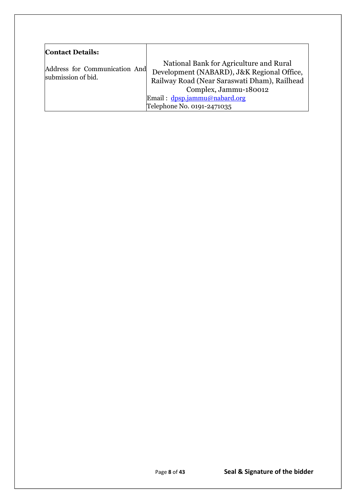| <b>Contact Details:</b>                             |                                                                                                                                                                                                                              |
|-----------------------------------------------------|------------------------------------------------------------------------------------------------------------------------------------------------------------------------------------------------------------------------------|
| Address for Communication And<br>submission of bid. | National Bank for Agriculture and Rural<br>Development (NABARD), J&K Regional Office,<br>Railway Road (Near Saraswati Dham), Railhead<br>Complex, Jammu-180012<br>Email: dpsp.jammu@nabard.org<br>Telephone No. 0191-2471035 |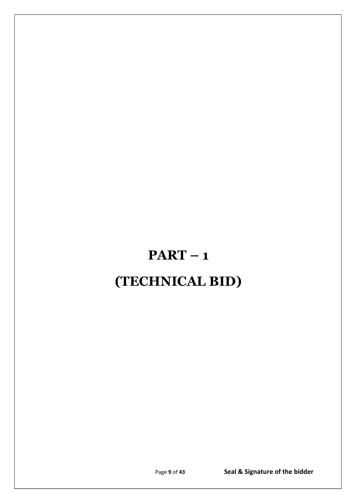# **PART – 1 (TECHNICAL BID)**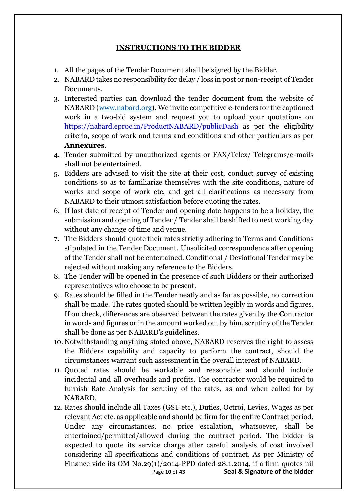# **INSTRUCTIONS TO THE BIDDER**

- 1. All the pages of the Tender Document shall be signed by the Bidder.
- 2. NABARD takes no responsibility for delay / loss in post or non-receipt of Tender Documents.
- 3. Interested parties can download the tender document from the website of NABARD [\(www.nabard.org\)](http://www.nabard.org/). We invite competitive e-tenders for the captioned work in a two-bid system and request you to upload your quotations on https://nabard.eproc.in/ProductNABARD/publicDash as per the eligibility criteria, scope of work and terms and conditions and other particulars as per **Annexures.**
- 4. Tender submitted by unauthorized agents or FAX/Telex/ Telegrams/e-mails shall not be entertained.
- 5. Bidders are advised to visit the site at their cost, conduct survey of existing conditions so as to familiarize themselves with the site conditions, nature of works and scope of work etc. and get all clarifications as necessary from NABARD to their utmost satisfaction before quoting the rates.
- 6. If last date of receipt of Tender and opening date happens to be a holiday, the submission and opening of Tender / Tender shall be shifted to next working day without any change of time and venue.
- 7. The Bidders should quote their rates strictly adhering to Terms and Conditions stipulated in the Tender Document. Unsolicited correspondence after opening of the Tender shall not be entertained. Conditional / Deviational Tender may be rejected without making any reference to the Bidders.
- 8. The Tender will be opened in the presence of such Bidders or their authorized representatives who choose to be present.
- 9. Rates should be filled in the Tender neatly and as far as possible, no correction shall be made. The rates quoted should be written legibly in words and figures. If on check, differences are observed between the rates given by the Contractor in words and figures or in the amount worked out by him, scrutiny of the Tender shall be done as per NABARD's guidelines.
- 10. Notwithstanding anything stated above, NABARD reserves the right to assess the Bidders capability and capacity to perform the contract, should the circumstances warrant such assessment in the overall interest of NABARD.
- 11. Quoted rates should be workable and reasonable and should include incidental and all overheads and profits. The contractor would be required to furnish Rate Analysis for scrutiny of the rates, as and when called for by NABARD.
- Page **10** of **43 Seal & Signature of the bidder** 12. Rates should include all Taxes (GST etc.), Duties, Octroi, Levies, Wages as per relevant Act etc. as applicable and should be firm for the entire Contract period. Under any circumstances, no price escalation, whatsoever, shall be entertained/permitted/allowed during the contract period. The bidder is expected to quote its service charge after careful analysis of cost involved considering all specifications and conditions of contract. As per Ministry of Finance vide its OM No.29(1)/2014-PPD dated 28.1.2014, if a firm quotes nil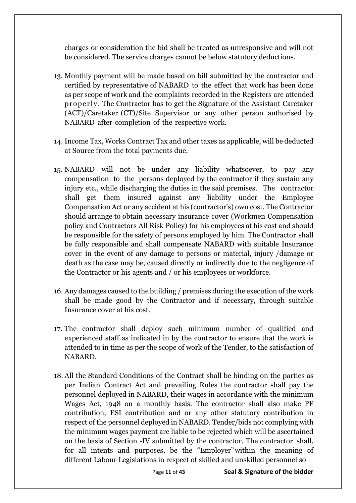charges or consideration the bid shall be treated as unresponsive and will not be considered. The service charges cannot be below statutory deductions.

- 13. Monthly payment will be made based on bill submitted by the contractor and certified by representative of NABARD to the effect that work has been done as per scope of work and the complaints recorded in the Registers are attended properly. The Contractor has to get the Signature of the Assistant Caretaker (ACT)/Caretaker (CT)/Site Supervisor or any other person authorised by NABARD after completion of the respective work.
- 14. Income Tax, Works Contract Tax and other taxes as applicable, will be deducted at Source from the total payments due.
- 15. NABARD will not be under any liability whatsoever, to pay any compensation to the persons deployed by the contractor if they sustain any injury etc., while discharging the duties in the said premises. The contractor shall get them insured against any liability under the Employee Compensation Act or any accident at his (contractor's) own cost. The Contractor should arrange to obtain necessary insurance cover (Workmen Compensation policy and Contractors All Risk Policy) for his employees at his cost and should be responsible for the safety of persons employed by him. The Contractor shall be fully responsible and shall compensate NABARD with suitable Insurance cover in the event of any damage to persons or material, injury /damage or death as the case may be, caused directly or indirectly due to the negligence of the Contractor or his agents and / or his employees or workforce.
- 16. Any damages caused to the building / premises during the execution of the work shall be made good by the Contractor and if necessary, through suitable Insurance cover at his cost.
- 17. The contractor shall deploy such minimum number of qualified and experienced staff as indicated in by the contractor to ensure that the work is attended to in time as per the scope of work of the Tender, to the satisfaction of NABARD.
- 18. All the Standard Conditions of the Contract shall be binding on the parties as per Indian Contract Act and prevailing Rules the contractor shall pay the personnel deployed in NABARD, their wages in accordance with the minimum Wages Act, 1948 on a monthly basis. The contractor shall also make PF contribution, ESI contribution and or any other statutory contribution in respect of the personnel deployed in NABARD. Tender/bids not complying with the minimum wages payment are liable to be rejected which will be ascertained on the basis of Section -IV submitted by the contractor. The contractor shall, for all intents and purposes, be the "Employer"within the meaning of different Labour Legislations in respect of skilled and unskilled personnel so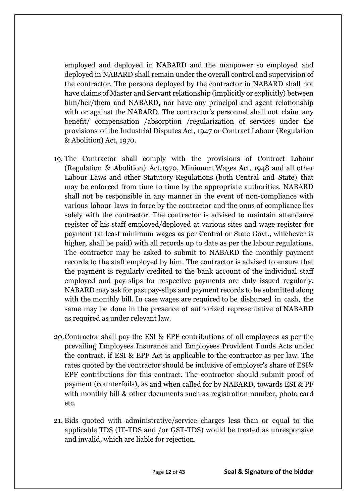employed and deployed in NABARD and the manpower so employed and deployed in NABARD shall remain under the overall control and supervision of the contractor. The persons deployed by the contractor in NABARD shall not have claims of Master and Servant relationship (implicitly or explicitly) between him/her/them and NABARD, nor have any principal and agent relationship with or against the NABARD. The contractor's personnel shall not claim any benefit/ compensation /absorption /regularization of services under the provisions of the Industrial Disputes Act, 1947 or Contract Labour (Regulation & Abolition) Act, 1970.

- 19. The Contractor shall comply with the provisions of Contract Labour (Regulation & Abolition) Act,1970, Minimum Wages Act, 1948 and all other Labour Laws and other Statutory Regulations (both Central and State) that may be enforced from time to time by the appropriate authorities. NABARD shall not be responsible in any manner in the event of non-compliance with various labour laws in force by the contractor and the onus of compliance lies solely with the contractor. The contractor is advised to maintain attendance register of his staff employed/deployed at various sites and wage register for payment (at least minimum wages as per Central or State Govt., whichever is higher, shall be paid) with all records up to date as per the labour regulations. The contractor may be asked to submit to NABARD the monthly payment records to the staff employed by him. The contractor is advised to ensure that the payment is regularly credited to the bank account of the individual staff employed and pay-slips for respective payments are duly issued regularly. NABARD may ask for past pay-slips and payment records to be submitted along with the monthly bill. In case wages are required to be disbursed in cash, the same may be done in the presence of authorized representative of NABARD as required as under relevant law.
- 20.Contractor shall pay the ESI & EPF contributions of all employees as per the prevailing Employees Insurance and Employees Provident Funds Acts under the contract, if ESI & EPF Act is applicable to the contractor as per law. The rates quoted by the contractor should be inclusive of employer's share of ESI& EPF contributions for this contract. The contractor should submit proof of payment (counterfoils), as and when called for by NABARD, towards ESI & PF with monthly bill & other documents such as registration number, photo card etc.
- 21. Bids quoted with administrative/service charges less than or equal to the applicable TDS (IT-TDS and /or GST-TDS) would be treated as unresponsive and invalid, which are liable for rejection.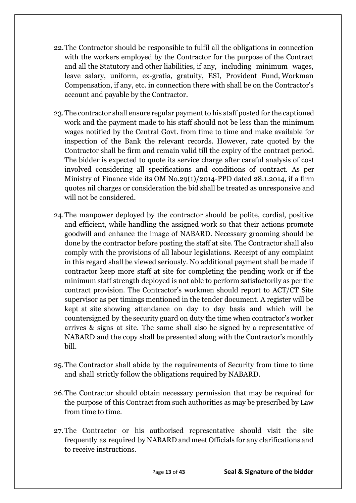- 22.The Contractor should be responsible to fulfil all the obligations in connection with the workers employed by the Contractor for the purpose of the Contract and all the Statutory and other liabilities, if any, including minimum wages, leave salary, uniform, ex-gratia, gratuity, ESI, Provident Fund, Workman Compensation, if any, etc. in connection there with shall be on the Contractor's account and payable by the Contractor.
- 23.The contractor shall ensure regular payment to his staff posted for the captioned work and the payment made to his staff should not be less than the minimum wages notified by the Central Govt. from time to time and make available for inspection of the Bank the relevant records. However, rate quoted by the Contractor shall be firm and remain valid till the expiry of the contract period. The bidder is expected to quote its service charge after careful analysis of cost involved considering all specifications and conditions of contract. As per Ministry of Finance vide its OM No.29(1)/2014-PPD dated 28.1.2014, if a firm quotes nil charges or consideration the bid shall be treated as unresponsive and will not be considered.
- 24.The manpower deployed by the contractor should be polite, cordial, positive and efficient, while handling the assigned work so that their actions promote goodwill and enhance the image of NABARD. Necessary grooming should be done by the contractor before posting the staff at site. The Contractor shall also comply with the provisions of all labour legislations. Receipt of any complaint in this regard shall be viewed seriously. No additional payment shall be made if contractor keep more staff at site for completing the pending work or if the minimum staff strength deployed is not able to perform satisfactorily as per the contract provision. The Contractor's workmen should report to ACT/CT Site supervisor as per timings mentioned in the tender document. A register will be kept at site showing attendance on day to day basis and which will be countersigned by the security guard on duty the time when contractor's worker arrives & signs at site. The same shall also be signed by a representative of NABARD and the copy shall be presented along with the Contractor's monthly bill.
- 25.The Contractor shall abide by the requirements of Security from time to time and shall strictly follow the obligations required by NABARD.
- 26.The Contractor should obtain necessary permission that may be required for the purpose of this Contract from such authorities as may be prescribed by Law from time to time.
- 27. The Contractor or his authorised representative should visit the site frequently as required by NABARD and meet Officials for any clarifications and to receive instructions.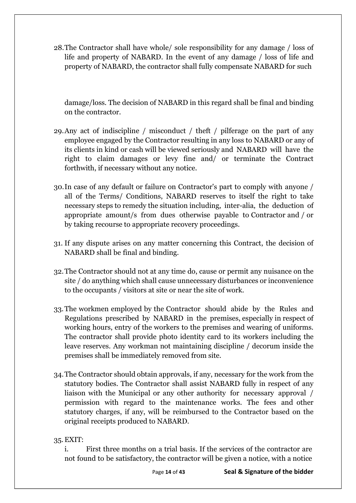28.The Contractor shall have whole/ sole responsibility for any damage / loss of life and property of NABARD. In the event of any damage / loss of life and property of NABARD, the contractor shall fully compensate NABARD for such

damage/loss. The decision of NABARD in this regard shall be final and binding on the contractor.

- 29.Any act of indiscipline / misconduct / theft / pilferage on the part of any employee engaged by the Contractor resulting in any loss to NABARD or any of its clients in kind or cash will be viewed seriously and NABARD will have the right to claim damages or levy fine and/ or terminate the Contract forthwith, if necessary without any notice.
- 30.In case of any default or failure on Contractor's part to comply with anyone / all of the Terms/ Conditions, NABARD reserves to itself the right to take necessary steps to remedy the situation including, inter-alia, the deduction of appropriate amount/s from dues otherwise payable to Contractor and / or by taking recourse to appropriate recovery proceedings.
- 31. If any dispute arises on any matter concerning this Contract, the decision of NABARD shall be final and binding.
- 32.The Contractor should not at any time do, cause or permit any nuisance on the site / do anything which shall cause unnecessary disturbances or inconvenience to the occupants / visitors at site or near the site of work.
- 33.The workmen employed by the Contractor should abide by the Rules and Regulations prescribed by NABARD in the premises, especially in respect of working hours, entry of the workers to the premises and wearing of uniforms. The contractor shall provide photo identity card to its workers including the leave reserves. Any workman not maintaining discipline / decorum inside the premises shall be immediately removed from site.
- 34.The Contractor should obtain approvals, if any, necessary for the work from the statutory bodies. The Contractor shall assist NABARD fully in respect of any liaison with the Municipal or any other authority for necessary approval / permission with regard to the maintenance works. The fees and other statutory charges, if any, will be reimbursed to the Contractor based on the original receipts produced to NABARD.
- 35.EXIT:

i. First three months on a trial basis. If the services of the contractor are not found to be satisfactory, the contractor will be given a notice, with a notice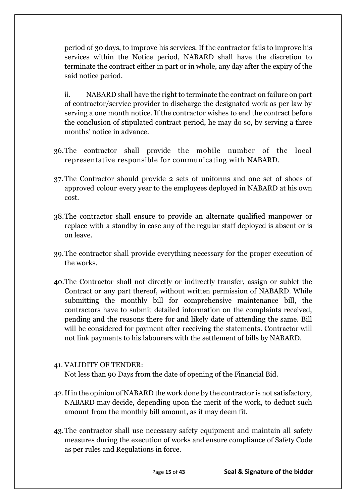period of 30 days, to improve his services. If the contractor fails to improve his services within the Notice period, NABARD shall have the discretion to terminate the contract either in part or in whole, any day after the expiry of the said notice period.

ii. NABARD shall have the right to terminate the contract on failure on part of contractor/service provider to discharge the designated work as per law by serving a one month notice. If the contractor wishes to end the contract before the conclusion of stipulated contract period, he may do so, by serving a three months' notice in advance.

- 36.The contractor shall provide the mobile number of the local representative responsible for communicating with NABARD.
- 37. The Contractor should provide 2 sets of uniforms and one set of shoes of approved colour every year to the employees deployed in NABARD at his own cost.
- 38.The contractor shall ensure to provide an alternate qualified manpower or replace with a standby in case any of the regular staff deployed is absent or is on leave.
- 39.The contractor shall provide everything necessary for the proper execution of the works.
- 40.The Contractor shall not directly or indirectly transfer, assign or sublet the Contract or any part thereof, without written permission of NABARD. While submitting the monthly bill for comprehensive maintenance bill, the contractors have to submit detailed information on the complaints received, pending and the reasons there for and likely date of attending the same. Bill will be considered for payment after receiving the statements. Contractor will not link payments to his labourers with the settlement of bills by NABARD.

# 41. VALIDITY OF TENDER:

Not less than 90 Days from the date of opening of the Financial Bid.

- 42.If in the opinion of NABARD the work done by the contractor is not satisfactory, NABARD may decide, depending upon the merit of the work, to deduct such amount from the monthly bill amount, as it may deem fit.
- 43.The contractor shall use necessary safety equipment and maintain all safety measures during the execution of works and ensure compliance of Safety Code as per rules and Regulations in force.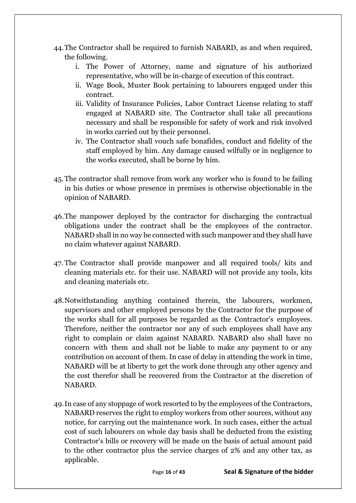- 44.The Contractor shall be required to furnish NABARD, as and when required, the following.
	- i. The Power of Attorney, name and signature of his authorized representative, who will be in-charge of execution of this contract.
	- ii. Wage Book, Muster Book pertaining to labourers engaged under this contract.
	- iii. Validity of Insurance Policies, Labor Contract License relating to staff engaged at NABARD site. The Contractor shall take all precautions necessary and shall be responsible for safety of work and risk involved in works carried out by their personnel.
	- iv. The Contractor shall vouch safe bonafides, conduct and fidelity of the staff employed by him. Any damage caused wilfully or in negligence to the works executed, shall be borne by him.
- 45.The contractor shall remove from work any worker who is found to be failing in his duties or whose presence in premises is otherwise objectionable in the opinion of NABARD.
- 46.The manpower deployed by the contractor for discharging the contractual obligations under the contract shall be the employees of the contractor. NABARD shall in no way be connected with such manpower and they shall have no claim whatever against NABARD.
- 47. The Contractor shall provide manpower and all required tools/ kits and cleaning materials etc. for their use. NABARD will not provide any tools, kits and cleaning materials etc.
- 48.Notwithstanding anything contained therein, the labourers, workmen, supervisors and other employed persons by the Contractor for the purpose of the works shall for all purposes be regarded as the Contractor's employees. Therefore, neither the contractor nor any of such employees shall have any right to complain or claim against NABARD. NABARD also shall have no concern with them and shall not be liable to make any payment to or any contribution on account of them. In case of delay in attending the work in time, NABARD will be at liberty to get the work done through any other agency and the cost therefor shall be recovered from the Contractor at the discretion of NABARD.
- 49.In case of any stoppage of work resorted to by the employees of the Contractors, NABARD reserves the right to employ workers from other sources, without any notice, for carrying out the maintenance work. In such cases, either the actual cost of such labourers on whole day basis shall be deducted from the existing Contractor's bills or recovery will be made on the basis of actual amount paid to the other contractor plus the service charges of 2% and any other tax, as applicable.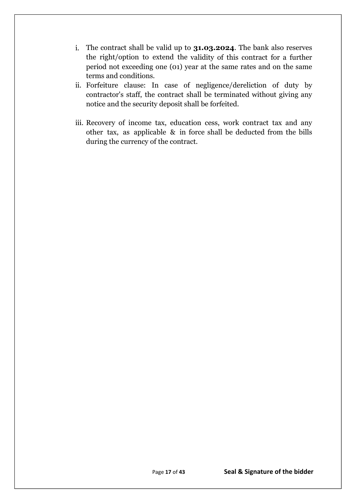- i. The contract shall be valid up to **31.03.2024**. The bank also reserves the right/option to extend the validity of this contract for a further period not exceeding one (01) year at the same rates and on the same terms and conditions.
- ii. Forfeiture clause: In case of negligence/dereliction of duty by contractor's staff, the contract shall be terminated without giving any notice and the security deposit shall be forfeited.
- iii. Recovery of income tax, education cess, work contract tax and any other tax, as applicable & in force shall be deducted from the bills during the currency of the contract.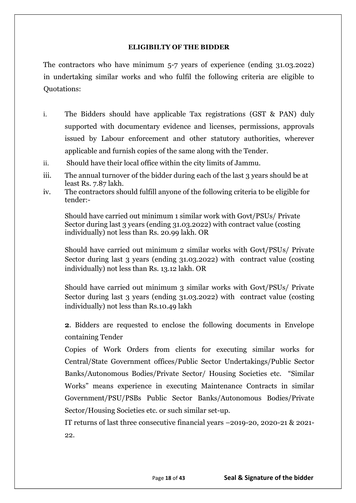#### **ELIGIBILTY OF THE BIDDER**

The contractors who have minimum 5-7 years of experience (ending 31.03.2022) in undertaking similar works and who fulfil the following criteria are eligible to Quotations:

- i. The Bidders should have applicable Tax registrations (GST & PAN) duly supported with documentary evidence and licenses, permissions, approvals issued by Labour enforcement and other statutory authorities, wherever applicable and furnish copies of the same along with the Tender.
- ii. Should have their local office within the city limits of Jammu.
- iii. The annual turnover of the bidder during each of the last 3 years should be at least Rs. 7.87 lakh.
- iv. The contractors should fulfill anyone of the following criteria to be eligible for tender:-

Should have carried out minimum 1 similar work with Govt/PSUs/ Private Sector during last 3 years (ending 31.03.2022) with contract value (costing individually) not less than Rs. 20.99 lakh. OR

Should have carried out minimum 2 similar works with Govt/PSUs/ Private Sector during last 3 years (ending 31.03.2022) with contract value (costing individually) not less than Rs. 13.12 lakh. OR

Should have carried out minimum 3 similar works with Govt/PSUs/ Private Sector during last 3 years (ending 31.03.2022) with contract value (costing individually) not less than Rs.10.49 lakh

**2**. Bidders are requested to enclose the following documents in Envelope containing Tender

Copies of Work Orders from clients for executing similar works for Central/State Government offices/Public Sector Undertakings/Public Sector Banks/Autonomous Bodies/Private Sector/ Housing Societies etc. "Similar Works" means experience in executing Maintenance Contracts in similar Government/PSU/PSBs Public Sector Banks/Autonomous Bodies/Private Sector/Housing Societies etc. or such similar set-up.

IT returns of last three consecutive financial years –2019-20, 2020-21 & 2021- 22.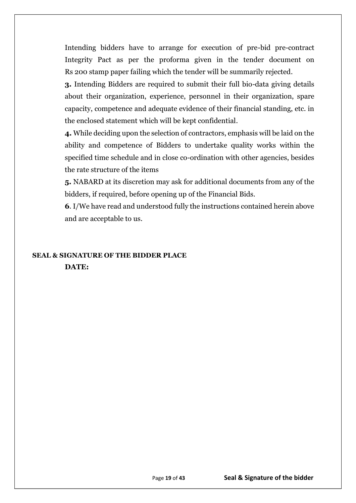Intending bidders have to arrange for execution of pre-bid pre-contract Integrity Pact as per the proforma given in the tender document on Rs 200 stamp paper failing which the tender will be summarily rejected.

**3.** Intending Bidders are required to submit their full bio-data giving details about their organization, experience, personnel in their organization, spare capacity, competence and adequate evidence of their financial standing, etc. in the enclosed statement which will be kept confidential.

**4.** While deciding upon the selection of contractors, emphasis will be laid on the ability and competence of Bidders to undertake quality works within the specified time schedule and in close co-ordination with other agencies, besides the rate structure of the items

**5.** NABARD at its discretion may ask for additional documents from any of the bidders, if required, before opening up of the Financial Bids.

**6**. I/We have read and understood fully the instructions contained herein above and are acceptable to us.

# **SEAL & SIGNATURE OF THE BIDDER PLACE DATE:**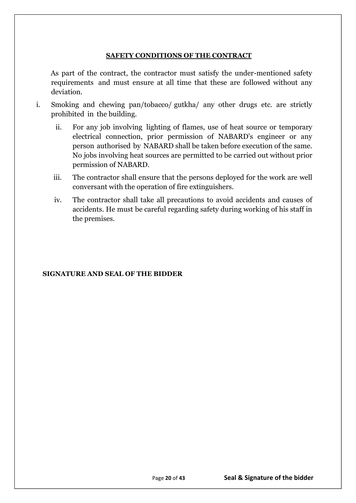#### **SAFETY CONDITIONS OF THE CONTRACT**

As part of the contract, the contractor must satisfy the under-mentioned safety requirements and must ensure at all time that these are followed without any deviation.

- i. Smoking and chewing pan/tobacco/ gutkha/ any other drugs etc. are strictly prohibited in the building.
	- ii. For any job involving lighting of flames, use of heat source or temporary electrical connection, prior permission of NABARD's engineer or any person authorised by NABARD shall be taken before execution of the same. No jobs involving heat sources are permitted to be carried out without prior permission of NABARD.
	- iii. The contractor shall ensure that the persons deployed for the work are well conversant with the operation of fire extinguishers.
	- iv. The contractor shall take all precautions to avoid accidents and causes of accidents. He must be careful regarding safety during working of his staff in the premises.

#### **SIGNATURE AND SEAL OF THE BIDDER**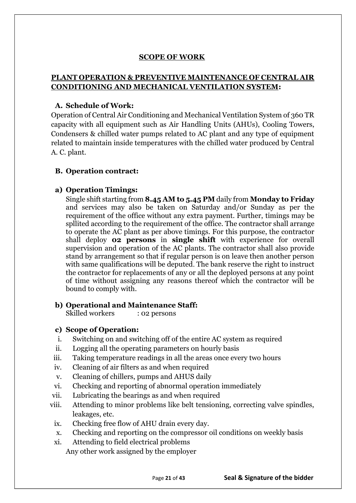# **SCOPE OF WORK**

# **PLANT OPERATION & PREVENTIVE MAINTENANCE OF CENTRAL AIR CONDITIONING AND MECHANICAL VENTILATION SYSTEM:**

# **A. Schedule of Work:**

Operation of Central Air Conditioning and Mechanical Ventilation System of 360 TR capacity with all equipment such as Air Handling Units (AHUs), Cooling Towers, Condensers & chilled water pumps related to AC plant and any type of equipment related to maintain inside temperatures with the chilled water produced by Central A. C. plant.

### **B. Operation contract:**

### **a) Operation Timings:**

Single shift starting from **8.45 AM to 5.45 PM** daily from **Monday to Friday** and services may also be taken on Saturday and/or Sunday as per the requirement of the office without any extra payment. Further, timings may be spllited according to the requirement of the office. The contractor shall arrange to operate the AC plant as per above timings. For this purpose, the contractor shall deploy **02 persons** in **single shift** with experience for overall supervision and operation of the AC plants. The contractor shall also provide stand by arrangement so that if regular person is on leave then another person with same qualifications will be deputed. The bank reserve the right to instruct the contractor for replacements of any or all the deployed persons at any point of time without assigning any reasons thereof which the contractor will be bound to comply with.

# **b) Operational and Maintenance Staff:**

Skilled workers : 02 persons

#### **c) Scope of Operation:**

- i. Switching on and switching off of the entire AC system as required
- ii. Logging all the operating parameters on hourly basis
- iii. Taking temperature readings in all the areas once every two hours
- iv. Cleaning of air filters as and when required
- v. Cleaning of chillers, pumps and AHUS daily
- vi. Checking and reporting of abnormal operation immediately
- vii. Lubricating the bearings as and when required
- viii. Attending to minor problems like belt tensioning, correcting valve spindles, leakages, etc.
	- ix. Checking free flow of AHU drain every day.
	- x. Checking and reporting on the compressor oil conditions on weekly basis
	- xi. Attending to field electrical problems Any other work assigned by the employer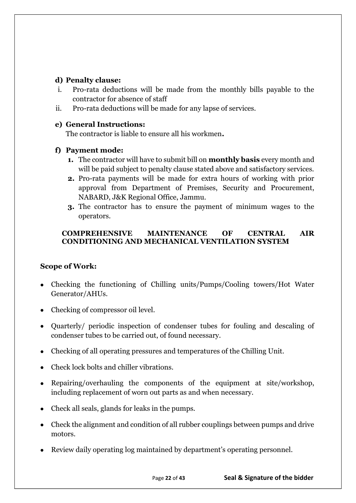# **d) Penalty clause:**

- i. Pro-rata deductions will be made from the monthly bills payable to the contractor for absence of staff
- ii. Pro-rata deductions will be made for any lapse of services.

# **e) General Instructions:**

The contractor is liable to ensure all his workmen**.**

# **f) Payment mode:**

- **1.** The contractor will have to submit bill on **monthly basis** every month and will be paid subject to penalty clause stated above and satisfactory services.
- **2.** Pro-rata payments will be made for extra hours of working with prior approval from Department of Premises, Security and Procurement, NABARD, J&K Regional Office, Jammu.
- **3.** The contractor has to ensure the payment of minimum wages to the operators.

# **COMPREHENSIVE MAINTENANCE OF CENTRAL AIR CONDITIONING AND MECHANICAL VENTILATION SYSTEM**

# **Scope of Work:**

- Checking the functioning of Chilling units/Pumps/Cooling towers/Hot Water Generator/AHUs.
- Checking of compressor oil level.
- Quarterly/ periodic inspection of condenser tubes for fouling and descaling of condenser tubes to be carried out, of found necessary.
- Checking of all operating pressures and temperatures of the Chilling Unit.
- Check lock bolts and chiller vibrations.
- Repairing/overhauling the components of the equipment at site/workshop, including replacement of worn out parts as and when necessary.
- Check all seals, glands for leaks in the pumps.
- Check the alignment and condition of all rubber couplings between pumps and drive motors.
- Review daily operating log maintained by department's operating personnel.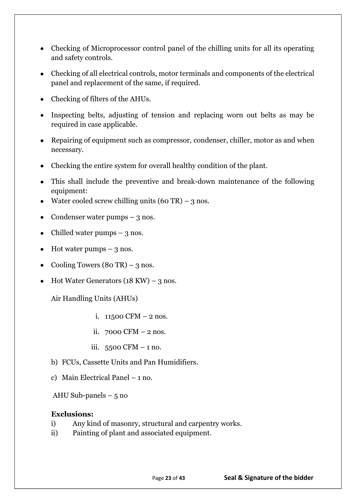- Checking of Microprocessor control panel of the chilling units for all its operating and safety controls.
- Checking of all electrical controls, motor terminals and components of the electrical panel and replacement of the same, if required.
- Checking of filters of the AHUs.
- Inspecting belts, adjusting of tension and replacing worn out belts as may be required in case applicable.
- Repairing of equipment such as compressor, condenser, chiller, motor as and when necessary.
- Checking the entire system for overall healthy condition of the plant.
- This shall include the preventive and break-down maintenance of the following equipment:
- Water cooled screw chilling units  $(60 \text{ TR}) 3 \text{ nos.}$
- Condenser water pumps  $-3$  nos.
- Chilled water pumps  $-3$  nos.
- $\bullet$  Hot water pumps 3 nos.
- Cooling Towers  $(80 \text{ TR}) 3 \text{ nos.}$
- Hot Water Generators  $(18 \text{ KW}) 3 \text{ nos.}$

Air Handling Units (AHUs)

- i.  $11500$  CFM  $-2$  nos.
- ii. 7000 CFM 2 nos.
- iii.  $5500$  CFM  $-1$  no.
- b) FCUs, Cassette Units and Pan Humidifiers.
- c) Main Electrical Panel 1 no.

AHU Sub-panels  $-5$  no

#### **Exclusions:**

- i) Any kind of masonry, structural and carpentry works.
- ii) Painting of plant and associated equipment.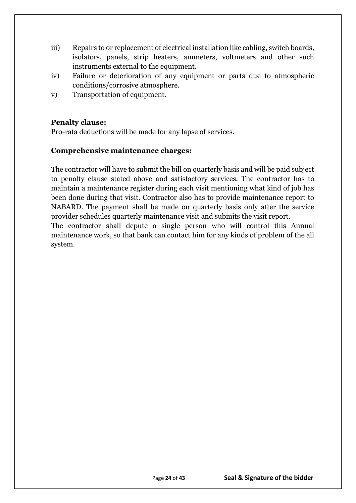- iii) Repairs to or replacement of electrical installation like cabling, switch boards, isolators, panels, strip heaters, ammeters, voltmeters and other such instruments external to the equipment.
- iv) Failure or deterioration of any equipment or parts due to atmospheric conditions/corrosive atmosphere.
- v) Transportation of equipment.

# **Penalty clause:**

Pro-rata deductions will be made for any lapse of services.

### **Comprehensive maintenance charges:**

The contractor will have to submit the bill on quarterly basis and will be paid subject to penalty clause stated above and satisfactory services. The contractor has to maintain a maintenance register during each visit mentioning what kind of job has been done during that visit. Contractor also has to provide maintenance report to NABARD. The payment shall be made on quarterly basis only after the service provider schedules quarterly maintenance visit and submits the visit report.

The contractor shall depute a single person who will control this Annual maintenance work, so that bank can contact him for any kinds of problem of the all system.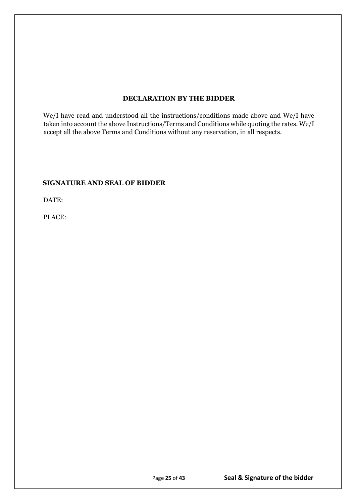#### **DECLARATION BY THE BIDDER**

We/I have read and understood all the instructions/conditions made above and We/I have taken into account the above Instructions/Terms and Conditions while quoting the rates. We/I accept all the above Terms and Conditions without any reservation, in all respects.

#### **SIGNATURE AND SEAL OF BIDDER**

DATE:

PLACE: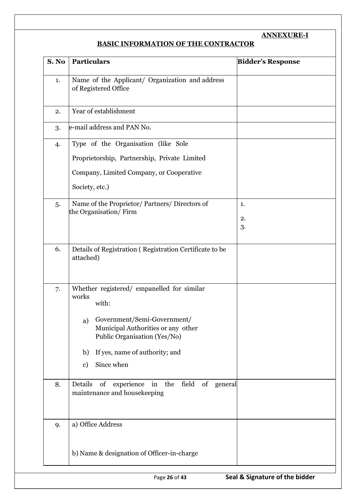# **ANNEXURE-I**

# **BASIC INFORMATION OF THE CONTRACTOR**

| S. No | Particulars                                                                                                                                                                                                                                | <b>Bidder's Response</b> |
|-------|--------------------------------------------------------------------------------------------------------------------------------------------------------------------------------------------------------------------------------------------|--------------------------|
| 1.    | Name of the Applicant/ Organization and address<br>of Registered Office                                                                                                                                                                    |                          |
| 2.    | Year of establishment                                                                                                                                                                                                                      |                          |
| 3.    | e-mail address and PAN No.                                                                                                                                                                                                                 |                          |
| 4.    | Type of the Organisation (like Sole<br>Proprietorship, Partnership, Private Limited<br>Company, Limited Company, or Cooperative<br>Society, etc.)                                                                                          |                          |
| 5.    | Name of the Proprietor/Partners/Directors of<br>the Organisation/Firm                                                                                                                                                                      | 1.<br>2.<br>3.           |
| 6.    | Details of Registration (Registration Certificate to be<br>attached)                                                                                                                                                                       |                          |
| 7.    | Whether registered/ empanelled for similar<br>works<br>with:<br>a) Government/Semi-Government/<br>Municipal Authorities or any other<br>Public Organisation (Yes/No)<br>If yes, name of authority; and<br>b)<br>Since when<br>$\mathbf{c}$ |                          |
| 8.    | Details<br>of experience in the field of general<br>maintenance and housekeeping                                                                                                                                                           |                          |
| 9.    | a) Office Address<br>b) Name & designation of Officer-in-charge                                                                                                                                                                            |                          |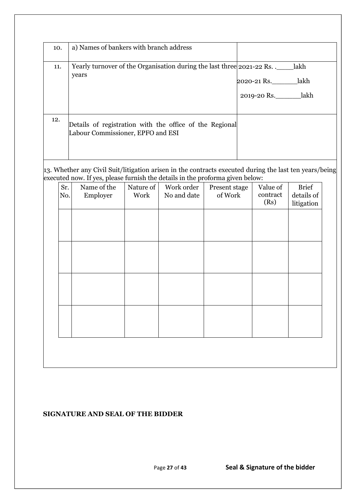| 10. | a) Names of bankers with branch address                                                      |                                                 |
|-----|----------------------------------------------------------------------------------------------|-------------------------------------------------|
| 11. | Yearly turnover of the Organisation during the last three 2021-22 Rs.<br>years               | lakh<br>lakh<br>2020-21 Rs.<br>2019-20 Rs. lakh |
| 12. | Details of registration with the office of the Regional<br>Labour Commissioner, EPFO and ESI |                                                 |

13. Whether any Civil Suit/litigation arisen in the contracts executed during the last ten years/being executed now. If yes, please furnish the details in the proforma given below:

| Sr.<br>No. | Name of the<br>Employer | Nature of<br>Work | Work order<br>No and date | Present stage<br>of Work | Value of<br>contract<br>(Rs) | <b>Brief</b><br>details of<br>litigation |
|------------|-------------------------|-------------------|---------------------------|--------------------------|------------------------------|------------------------------------------|
|            |                         |                   |                           |                          |                              |                                          |
|            |                         |                   |                           |                          |                              |                                          |
|            |                         |                   |                           |                          |                              |                                          |
|            |                         |                   |                           |                          |                              |                                          |
|            |                         |                   |                           |                          |                              |                                          |

#### **SIGNATURE AND SEAL OF THE BIDDER**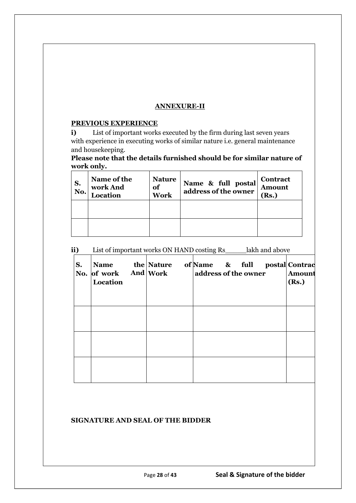#### **ANNEXURE-II**

#### **PREVIOUS EXPERIENCE**

**i)** List of important works executed by the firm during last seven years with experience in executing works of similar nature i.e. general maintenance and housekeeping.

**Please note that the details furnished should be for similar nature of work only.**

| S.<br>$\mathbf{N}\mathbf{0}$ . | Name of the<br>work And<br>Location | <b>Nature</b><br>of<br><b>Work</b> | Name & full postal<br>address of the owner | Contract<br><b>Amount</b><br>(Rs.) |
|--------------------------------|-------------------------------------|------------------------------------|--------------------------------------------|------------------------------------|
|                                |                                     |                                    |                                            |                                    |
|                                |                                     |                                    |                                            |                                    |

**ii)** List of important works ON HAND costing Rs\_\_\_\_\_lakh and above

| S. | <b>Name</b><br>No. of work And Work<br>Location | the Nature | of Name & full<br>address of the owner | postal Contrac<br><b>Amount</b><br>(Rs.) |
|----|-------------------------------------------------|------------|----------------------------------------|------------------------------------------|
|    |                                                 |            |                                        |                                          |
|    |                                                 |            |                                        |                                          |
|    |                                                 |            |                                        |                                          |

#### **SIGNATURE AND SEAL OF THE BIDDER**

**AMC Period**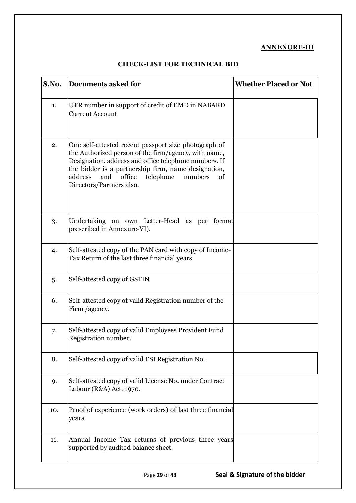#### **ANNEXURE-III**

## **CHECK-LIST FOR TECHNICAL BID**

| S.No. | <b>Documents asked for</b>                                                                                                                                                                                                                                                                                         | <b>Whether Placed or Not</b> |
|-------|--------------------------------------------------------------------------------------------------------------------------------------------------------------------------------------------------------------------------------------------------------------------------------------------------------------------|------------------------------|
| 1.    | UTR number in support of credit of EMD in NABARD<br><b>Current Account</b>                                                                                                                                                                                                                                         |                              |
| 2.    | One self-attested recent passport size photograph of<br>the Authorized person of the firm/agency, with name,<br>Designation, address and office telephone numbers. If<br>the bidder is a partnership firm, name designation,<br>telephone<br>and<br>office<br>address<br>numbers<br>of<br>Directors/Partners also. |                              |
| 3.    | Undertaking on own Letter-Head as per<br>format<br>prescribed in Annexure-VI).                                                                                                                                                                                                                                     |                              |
| 4.    | Self-attested copy of the PAN card with copy of Income-<br>Tax Return of the last three financial years.                                                                                                                                                                                                           |                              |
| 5.    | Self-attested copy of GSTIN                                                                                                                                                                                                                                                                                        |                              |
| 6.    | Self-attested copy of valid Registration number of the<br>Firm /agency.                                                                                                                                                                                                                                            |                              |
| 7.    | Self-attested copy of valid Employees Provident Fund<br>Registration number.                                                                                                                                                                                                                                       |                              |
| 8.    | Self-attested copy of valid ESI Registration No.                                                                                                                                                                                                                                                                   |                              |
| 9.    | Self-attested copy of valid License No. under Contract<br>Labour (R&A) Act, 1970.                                                                                                                                                                                                                                  |                              |
| 10.   | Proof of experience (work orders) of last three financial<br>years.                                                                                                                                                                                                                                                |                              |
| 11.   | Annual Income Tax returns of previous three years<br>supported by audited balance sheet.                                                                                                                                                                                                                           |                              |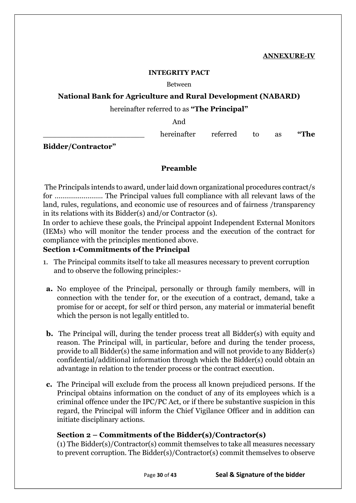#### **INTEGRITY PACT**

#### Between

# **National Bank for Agriculture and Rural Development (NABARD)**

### hereinafter referred to as **"The Principal"**

And

hereinafter referred to as "The

**Bidder/Contractor"**

#### **Preamble**

The Principals intends to award, under laid down organizational procedures contract/s for ……………………. The Principal values full compliance with all relevant laws of the land, rules, regulations, and economic use of resources and of fairness /transparency in its relations with its Bidder(s) and/or Contractor (s).

In order to achieve these goals, the Principal appoint Independent External Monitors (IEMs) who will monitor the tender process and the execution of the contract for compliance with the principles mentioned above.

### **Section 1-Commitments of the Principal**

- 1. The Principal commits itself to take all measures necessary to prevent corruption and to observe the following principles:-
- **a.** No employee of the Principal, personally or through family members, will in connection with the tender for, or the execution of a contract, demand, take a promise for or accept, for self or third person, any material or immaterial benefit which the person is not legally entitled to.
- **b.** The Principal will, during the tender process treat all Bidder(s) with equity and reason. The Principal will, in particular, before and during the tender process, provide to all Bidder(s) the same information and will not provide to any Bidder(s) confidential/additional information through which the Bidder(s) could obtain an advantage in relation to the tender process or the contract execution.
- **c.** The Principal will exclude from the process all known prejudiced persons. If the Principal obtains information on the conduct of any of its employees which is a criminal offence under the IPC/PC Act, or if there be substantive suspicion in this regard, the Principal will inform the Chief Vigilance Officer and in addition can initiate disciplinary actions.

# **Section 2 – Commitments of the Bidder(s)/Contractor(s)**

(1) The Bidder(s)/Contractor(s) commit themselves to take all measures necessary to prevent corruption. The Bidder(s)/Contractor(s) commit themselves to observe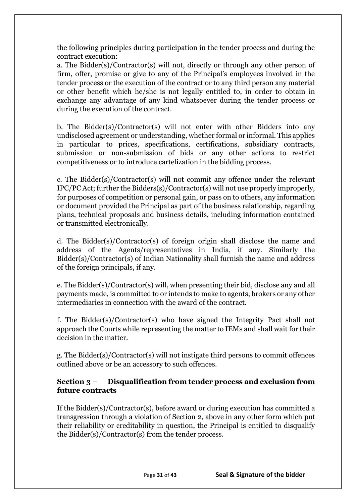the following principles during participation in the tender process and during the contract execution:

a. The Bidder(s)/Contractor(s) will not, directly or through any other person of firm, offer, promise or give to any of the Principal's employees involved in the tender process or the execution of the contract or to any third person any material or other benefit which he/she is not legally entitled to, in order to obtain in exchange any advantage of any kind whatsoever during the tender process or during the execution of the contract.

b. The Bidder(s)/Contractor(s) will not enter with other Bidders into any undisclosed agreement or understanding, whether formal or informal. This applies in particular to prices, specifications, certifications, subsidiary contracts, submission or non-submission of bids or any other actions to restrict competitiveness or to introduce cartelization in the bidding process.

c. The Bidder(s)/Contractor(s) will not commit any offence under the relevant IPC/PC Act; further the Bidders(s)/Contractor(s) will not use properly improperly, for purposes of competition or personal gain, or pass on to others, any information or document provided the Principal as part of the business relationship, regarding plans, technical proposals and business details, including information contained or transmitted electronically.

d. The Bidder(s)/Contractor(s) of foreign origin shall disclose the name and address of the Agents/representatives in India, if any. Similarly the Bidder(s)/Contractor(s) of Indian Nationality shall furnish the name and address of the foreign principals, if any.

e. The Bidder(s)/Contractor(s) will, when presenting their bid, disclose any and all payments made, is committed to or intends to make to agents, brokers or any other intermediaries in connection with the award of the contract.

f. The Bidder(s)/Contractor(s) who have signed the Integrity Pact shall not approach the Courts while representing the matter to IEMs and shall wait for their decision in the matter.

g. The Bidder(s)/Contractor(s) will not instigate third persons to commit offences outlined above or be an accessory to such offences.

# **Section 3 – Disqualification from tender process and exclusion from future contracts**

If the Bidder(s)/Contractor(s), before award or during execution has committed a transgression through a violation of Section 2, above in any other form which put their reliability or creditability in question, the Principal is entitled to disqualify the Bidder(s)/Contractor(s) from the tender process.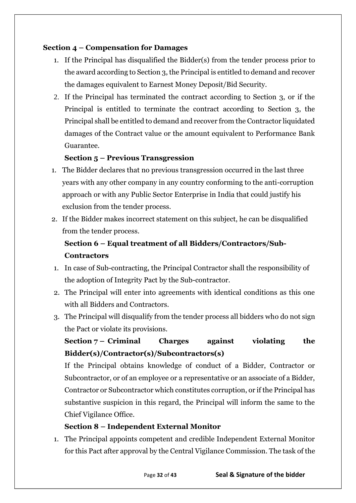# **Section 4 – Compensation for Damages**

- 1. If the Principal has disqualified the Bidder(s) from the tender process prior to the award according to Section 3, the Principal is entitled to demand and recover the damages equivalent to Earnest Money Deposit/Bid Security.
- 2. If the Principal has terminated the contract according to Section 3, or if the Principal is entitled to terminate the contract according to Section 3, the Principal shall be entitled to demand and recover from the Contractor liquidated damages of the Contract value or the amount equivalent to Performance Bank Guarantee.

# **Section 5 – Previous Transgression**

- 1. The Bidder declares that no previous transgression occurred in the last three years with any other company in any country conforming to the anti-corruption approach or with any Public Sector Enterprise in India that could justify his exclusion from the tender process.
- 2. If the Bidder makes incorrect statement on this subject, he can be disqualified from the tender process.

# **Section 6 – Equal treatment of all Bidders/Contractors/Sub-Contractors**

- 1. In case of Sub-contracting, the Principal Contractor shall the responsibility of the adoption of Integrity Pact by the Sub-contractor.
- 2. The Principal will enter into agreements with identical conditions as this one with all Bidders and Contractors.
- 3. The Principal will disqualify from the tender process all bidders who do not sign the Pact or violate its provisions.

# **Section 7 – Criminal Charges against violating the Bidder(s)/Contractor(s)/Subcontractors(s)**

If the Principal obtains knowledge of conduct of a Bidder, Contractor or Subcontractor, or of an employee or a representative or an associate of a Bidder, Contractor or Subcontractor which constitutes corruption, or if the Principal has substantive suspicion in this regard, the Principal will inform the same to the Chief Vigilance Office.

# **Section 8 – Independent External Monitor**

1. The Principal appoints competent and credible Independent External Monitor for this Pact after approval by the Central Vigilance Commission. The task of the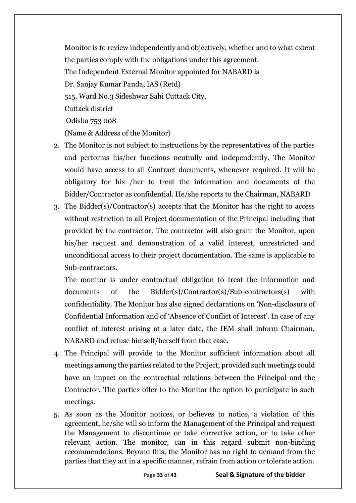Monitor is to review independently and objectively, whether and to what extent the parties comply with the obligations under this agreement. The Independent External Monitor appointed for NABARD is Dr. Sanjay Kumar Panda, IAS (Retd) 515, Ward No.3 Sideshwar Sahi Cuttack City, Cuttack district Odisha 753 008 (Name & Address of the Monitor)

- 2. The Monitor is not subject to instructions by the representatives of the parties and performs his/her functions neutrally and independently. The Monitor would have access to all Contract documents, whenever required. It will be obligatory for his /her to treat the information and documents of the Bidder/Contractor as confidential. He/she reports to the Chairman, NABARD
- 3. The Bidder(s)/Contractor(s) accepts that the Monitor has the right to access without restriction to all Project documentation of the Principal including that provided by the contractor. The contractor will also grant the Monitor, upon his/her request and demonstration of a valid interest, unrestricted and unconditional access to their project documentation. The same is applicable to Sub-contractors.

The monitor is under contractual obligation to treat the information and documents of the Bidder(s)/Contractor(s)/Sub-contractors(s) with confidentiality. The Monitor has also signed declarations on 'Non-disclosure of Confidential Information and of 'Absence of Conflict of Interest'. In case of any conflict of interest arising at a later date, the IEM shall inform Chairman, NABARD and refuse himself/herself from that case.

- 4. The Principal will provide to the Monitor sufficient information about all meetings among the parties related to the Project, provided such meetings could have an impact on the contractual relations between the Principal and the Contractor. The parties offer to the Monitor the option to participate in such meetings.
- 5. As soon as the Monitor notices, or believes to notice, a violation of this agreement, he/she will so inform the Management of the Principal and request the Management to discontinue or take corrective action, or to take other relevant action. The monitor, can in this regard submit non-binding recommendations. Beyond this, the Monitor has no right to demand from the parties that they act in a specific manner, refrain from action or tolerate action.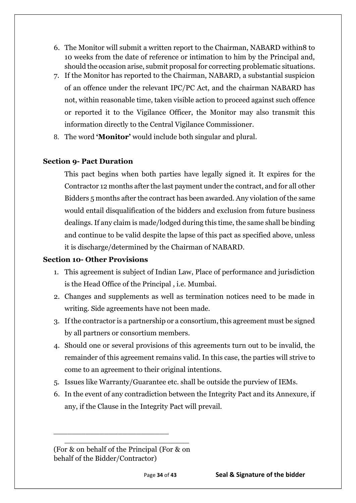- 6. The Monitor will submit a written report to the Chairman, NABARD within8 to 10 weeks from the date of reference or intimation to him by the Principal and, should the occasion arise, submit proposal for correcting problematic situations.
- 7. If the Monitor has reported to the Chairman, NABARD, a substantial suspicion of an offence under the relevant IPC/PC Act, and the chairman NABARD has not, within reasonable time, taken visible action to proceed against such offence or reported it to the Vigilance Officer, the Monitor may also transmit this information directly to the Central Vigilance Commissioner.
- 8. The word **'Monitor'** would include both singular and plural.

# **Section 9- Pact Duration**

This pact begins when both parties have legally signed it. It expires for the Contractor 12 months after the last payment under the contract, and for all other Bidders 5 months after the contract has been awarded. Any violation of the same would entail disqualification of the bidders and exclusion from future business dealings. If any claim is made/lodged during this time, the same shall be binding and continue to be valid despite the lapse of this pact as specified above, unless it is discharge/determined by the Chairman of NABARD.

# **Section 10- Other Provisions**

- 1. This agreement is subject of Indian Law, Place of performance and jurisdiction is the Head Office of the Principal , i.e. Mumbai.
- 2. Changes and supplements as well as termination notices need to be made in writing. Side agreements have not been made.
- 3. If the contractor is a partnership or a consortium, this agreement must be signed by all partners or consortium members.
- 4. Should one or several provisions of this agreements turn out to be invalid, the remainder of this agreement remains valid. In this case, the parties will strive to come to an agreement to their original intentions.
- 5. Issues like Warranty/Guarantee etc. shall be outside the purview of IEMs.
- 6. In the event of any contradiction between the Integrity Pact and its Annexure, if any, if the Clause in the Integrity Pact will prevail.

\_\_\_\_\_\_\_\_\_\_\_\_\_\_\_\_\_\_\_\_\_\_\_\_\_\_\_

\_\_\_\_\_\_\_\_\_\_\_\_\_\_\_\_\_\_\_\_\_\_\_\_\_

<sup>(</sup>For & on behalf of the Principal (For & on behalf of the Bidder/Contractor)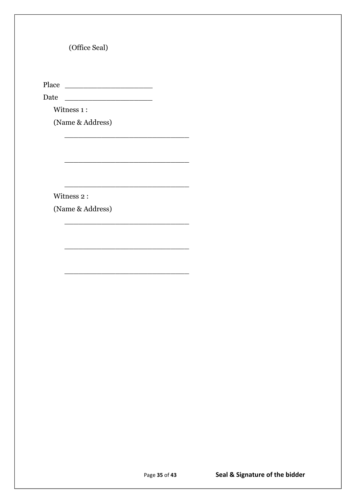(Office Seal)

Place \_\_\_\_\_\_\_\_\_\_\_\_\_\_\_\_\_\_\_

Date \_\_\_\_\_\_\_\_\_\_\_\_\_\_\_\_\_\_\_

\_\_\_\_\_\_\_\_\_\_\_\_\_\_\_\_\_\_\_\_\_\_\_\_\_\_\_

\_\_\_\_\_\_\_\_\_\_\_\_\_\_\_\_\_\_\_\_\_\_\_\_\_\_\_

\_\_\_\_\_\_\_\_\_\_\_\_\_\_\_\_\_\_\_\_\_\_\_\_\_\_\_

\_\_\_\_\_\_\_\_\_\_\_\_\_\_\_\_\_\_\_\_\_\_\_\_\_\_\_

\_\_\_\_\_\_\_\_\_\_\_\_\_\_\_\_\_\_\_\_\_\_\_\_\_\_\_

\_\_\_\_\_\_\_\_\_\_\_\_\_\_\_\_\_\_\_\_\_\_\_\_\_\_\_

Witness 1:

(Name & Address)

Witness 2 :

(Name & Address)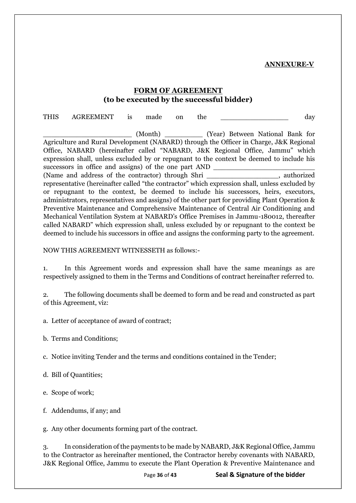**ANNEXURE-V**

## **FORM OF AGREEMENT (to be executed by the successful bidder)**

THIS AGREEMENT is made on the day \_\_\_\_\_\_\_\_\_\_\_\_\_\_\_\_\_\_\_\_\_ (Month) \_\_\_\_\_\_\_\_\_ (Year) Between National Bank for Agriculture and Rural Development (NABARD) through the Officer in Charge, J&K Regional Office, NABARD (hereinafter called "NABARD, J&K Regional Office, Jammu" which expression shall, unless excluded by or repugnant to the context be deemed to include his successors in office and assigns) of the one part AND (Name and address of the contractor) through Shri example and surfactor of the contractor of through Shri example and surfactor of the contractor of the contractor of the contractor of the structure of the contractor of th representative (hereinafter called "the contractor" which expression shall, unless excluded by or repugnant to the context, be deemed to include his successors, heirs, executors, administrators, representatives and assigns) of the other part for providing Plant Operation & Preventive Maintenance and Comprehensive Maintenance of Central Air Conditioning and Mechanical Ventilation System at NABARD's Office Premises in Jammu-180012, thereafter called NABARD" which expression shall, unless excluded by or repugnant to the context be deemed to include his successors in office and assigns the conforming party to the agreement.

#### NOW THIS AGREEMENT WITNESSETH as follows:-

1. In this Agreement words and expression shall have the same meanings as are respectively assigned to them in the Terms and Conditions of contract hereinafter referred to.

2. The following documents shall be deemed to form and be read and constructed as part of this Agreement, viz:

a. Letter of acceptance of award of contract;

b. Terms and Conditions;

c. Notice inviting Tender and the terms and conditions contained in the Tender;

d. Bill of Quantities;

e. Scope of work;

f. Addendums, if any; and

g. Any other documents forming part of the contract.

3. In consideration of the payments to be made by NABARD, J&K Regional Office, Jammu to the Contractor as hereinafter mentioned, the Contractor hereby covenants with NABARD, J&K Regional Office, Jammu to execute the Plant Operation & Preventive Maintenance and

Page **36** of **43 Seal & Signature of the bidder**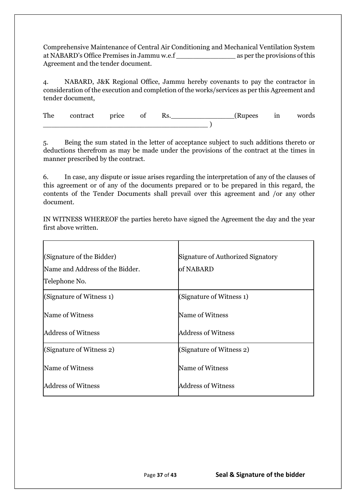Comprehensive Maintenance of Central Air Conditioning and Mechanical Ventilation System at NABARD's Office Premises in Jammu w.e.f \_\_\_\_\_\_\_\_\_\_\_\_\_\_ as per the provisions of this Agreement and the tender document.

4. NABARD, J&K Regional Office, Jammu hereby covenants to pay the contractor in consideration of the execution and completion of the works/services as per this Agreement and tender document,

The contract price of Rs. (Rupees in words \_\_\_\_\_\_\_\_\_\_\_\_\_\_\_\_\_\_\_\_\_\_\_\_\_\_\_\_\_\_\_\_\_\_\_\_\_\_\_ )

5. Being the sum stated in the letter of acceptance subject to such additions thereto or deductions therefrom as may be made under the provisions of the contract at the times in manner prescribed by the contract.

6. In case, any dispute or issue arises regarding the interpretation of any of the clauses of this agreement or of any of the documents prepared or to be prepared in this regard, the contents of the Tender Documents shall prevail over this agreement and /or any other document.

IN WITNESS WHEREOF the parties hereto have signed the Agreement the day and the year first above written.

| (Signature of the Bidder)<br>Name and Address of the Bidder.<br>Telephone No. | Signature of Authorized Signatory<br>of NABARD |
|-------------------------------------------------------------------------------|------------------------------------------------|
| (Signature of Witness 1)                                                      | (Signature of Witness 1)                       |
| Name of Witness                                                               | Name of Witness                                |
| <b>Address of Witness</b>                                                     | <b>Address of Witness</b>                      |
| (Signature of Witness 2)                                                      | (Signature of Witness 2)                       |
| Name of Witness                                                               | Name of Witness                                |
| <b>Address of Witness</b>                                                     | <b>Address of Witness</b>                      |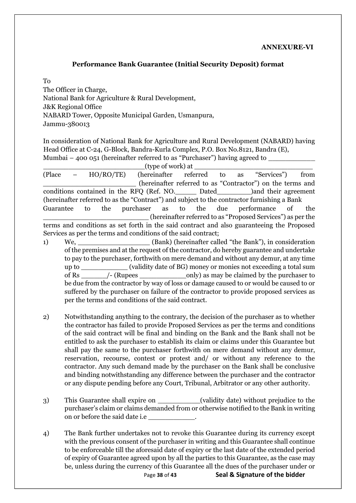#### **Performance Bank Guarantee (Initial Security Deposit) format**

To

The Officer in Charge, National Bank for Agriculture & Rural Development, J&K Regional Office NABARD Tower, Opposite Municipal Garden, Usmanpura, Jammu-380013

In consideration of National Bank for Agriculture and Rural Development (NABARD) having Head Office at C-24, G-Block, Bandra-Kurla Complex, P.O. Box No.8121, Bandra (E), Mumbai – 400 051 (hereinafter referred to as "Purchaser") having agreed to

 $_$  (type of work) at  $_-$ 

(Place – HO/RO/TE) (hereinafter referred to as "Services") from \_\_\_\_\_\_\_\_\_\_\_\_\_\_\_\_\_\_\_\_\_\_ (hereinafter referred to as "Contractor") on the terms and conditions contained in the RFQ (Ref. NO.\_\_\_\_\_ Dated\_\_\_\_\_\_\_\_)and their agreement (hereinafter referred to as the "Contract") and subject to the contractor furnishing a Bank Guarantee to the purchaser as to the due performance of the \_\_\_\_\_\_\_\_\_\_\_\_\_\_\_\_\_\_\_\_\_\_\_\_\_ (hereinafter referred to as "Proposed Services") as per the terms and conditions as set forth in the said contract and also guaranteeing the Proposed Services as per the terms and conditions of the said contract;

- 1) We, \_\_\_\_\_\_\_\_\_\_\_\_\_\_\_\_\_ (Bank) (hereinafter called "the Bank"), in consideration of the premises and at the request of the contractor, do hereby guarantee and undertake to pay to the purchaser, forthwith on mere demand and without any demur, at any time up to \_\_\_\_\_\_\_\_\_\_\_ (validity date of BG) money or monies not exceeding a total sum of Rs \_\_\_\_\_\_/- (Rupees \_\_\_\_\_\_\_\_\_\_\_only) as may be claimed by the purchaser to be due from the contractor by way of loss or damage caused to or would be caused to or suffered by the purchaser on failure of the contractor to provide proposed services as per the terms and conditions of the said contract.
- 2) Notwithstanding anything to the contrary, the decision of the purchaser as to whether the contractor has failed to provide Proposed Services as per the terms and conditions of the said contract will be final and binding on the Bank and the Bank shall not be entitled to ask the purchaser to establish its claim or claims under this Guarantee but shall pay the same to the purchaser forthwith on mere demand without any demur, reservation, recourse, contest or protest and/ or without any reference to the contractor. Any such demand made by the purchaser on the Bank shall be conclusive and binding notwithstanding any difference between the purchaser and the contractor or any dispute pending before any Court, Tribunal, Arbitrator or any other authority.
- 3) This Guarantee shall expire on  $\qquad \qquad$  (validity date) without prejudice to the purchaser's claim or claims demanded from or otherwise notified to the Bank in writing on or before the said date i.e \_\_\_\_\_\_\_\_\_\_\_.
- 4) The Bank further undertakes not to revoke this Guarantee during its currency except with the previous consent of the purchaser in writing and this Guarantee shall continue to be enforceable till the aforesaid date of expiry or the last date of the extended period of expiry of Guarantee agreed upon by all the parties to this Guarantee, as the case may be, unless during the currency of this Guarantee all the dues of the purchaser under or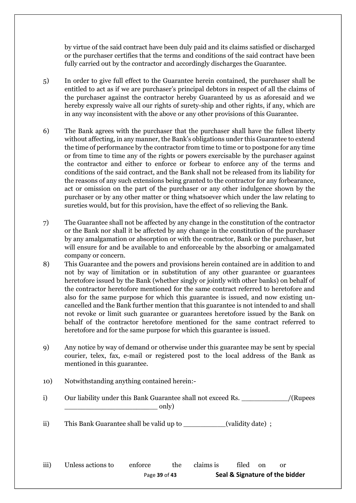by virtue of the said contract have been duly paid and its claims satisfied or discharged or the purchaser certifies that the terms and conditions of the said contract have been fully carried out by the contractor and accordingly discharges the Guarantee.

- 5) In order to give full effect to the Guarantee herein contained, the purchaser shall be entitled to act as if we are purchaser's principal debtors in respect of all the claims of the purchaser against the contractor hereby Guaranteed by us as aforesaid and we hereby expressly waive all our rights of surety-ship and other rights, if any, which are in any way inconsistent with the above or any other provisions of this Guarantee.
- 6) The Bank agrees with the purchaser that the purchaser shall have the fullest liberty without affecting, in any manner, the Bank's obligations under this Guarantee to extend the time of performance by the contractor from time to time or to postpone for any time or from time to time any of the rights or powers exercisable by the purchaser against the contractor and either to enforce or forbear to enforce any of the terms and conditions of the said contract, and the Bank shall not be released from its liability for the reasons of any such extensions being granted to the contractor for any forbearance, act or omission on the part of the purchaser or any other indulgence shown by the purchaser or by any other matter or thing whatsoever which under the law relating to sureties would, but for this provision, have the effect of so relieving the Bank.
- 7) The Guarantee shall not be affected by any change in the constitution of the contractor or the Bank nor shall it be affected by any change in the constitution of the purchaser by any amalgamation or absorption or with the contractor, Bank or the purchaser, but will ensure for and be available to and enforceable by the absorbing or amalgamated company or concern.
- 8) This Guarantee and the powers and provisions herein contained are in addition to and not by way of limitation or in substitution of any other guarantee or guarantees heretofore issued by the Bank (whether singly or jointly with other banks) on behalf of the contractor heretofore mentioned for the same contract referred to heretofore and also for the same purpose for which this guarantee is issued, and now existing uncancelled and the Bank further mention that this guarantee is not intended to and shall not revoke or limit such guarantee or guarantees heretofore issued by the Bank on behalf of the contractor heretofore mentioned for the same contract referred to heretofore and for the same purpose for which this guarantee is issued.
- 9) Any notice by way of demand or otherwise under this guarantee may be sent by special courier, telex, fax, e-mail or registered post to the local address of the Bank as mentioned in this guarantee.
- 10) Notwithstanding anything contained herein:-
- i) Our liability under this Bank Guarantee shall not exceed Rs. \_\_\_\_\_\_\_\_\_\_\_\_\_/(Rupees  $_{\rm only}$ )
- ii) This Bank Guarantee shall be valid up to \_\_\_\_\_\_\_\_\_\_(validity date) ;

Page **39** of **43 Seal & Signature of the bidder** iii) Unless actions to enforce the claims is filed on or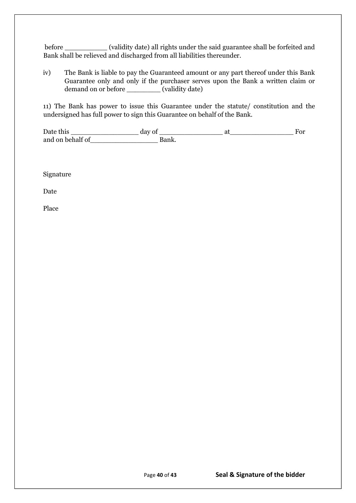before \_\_\_\_\_\_\_\_\_\_ (validity date) all rights under the said guarantee shall be forfeited and Bank shall be relieved and discharged from all liabilities thereunder.

iv) The Bank is liable to pay the Guaranteed amount or any part thereof under this Bank Guarantee only and only if the purchaser serves upon the Bank a written claim or demand on or before \_\_\_\_\_\_\_\_\_ (validity date)

11) The Bank has power to issue this Guarantee under the statute/ constitution and the undersigned has full power to sign this Guarantee on behalf of the Bank.

Date this \_\_\_\_\_\_\_\_\_\_\_\_\_\_\_\_ day of \_\_\_\_\_\_\_\_\_\_\_\_\_\_\_ at\_\_\_\_\_\_\_\_\_\_\_\_\_\_\_ For and on behalf of Theorem Bank.

Signature

Date

Place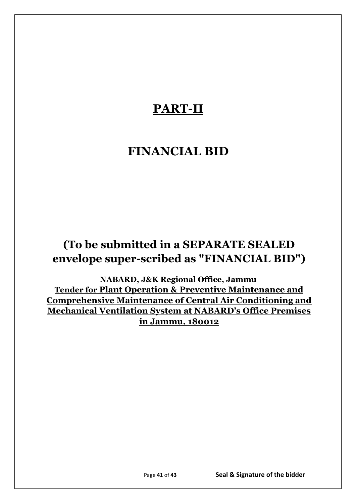# **PART-II**

# **FINANCIAL BID**

# **(To be submitted in a SEPARATE SEALED envelope super-scribed as "FINANCIAL BID")**

**NABARD, J&K Regional Office, Jammu Tender for Plant Operation & Preventive Maintenance and Comprehensive Maintenance of Central Air Conditioning and Mechanical Ventilation System at NABARD's Office Premises in Jammu, 180012**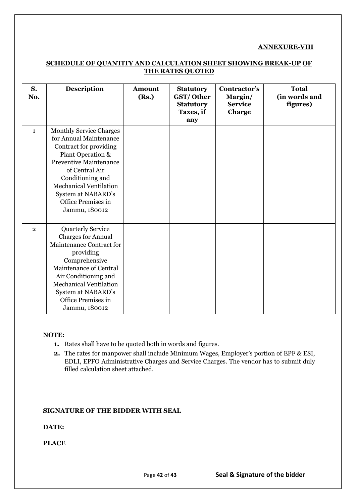#### **ANNEXURE-VIII**

| S.<br>No.      | <b>Description</b>                                                                                                                                                                                                                                                           | <b>Amount</b><br>(Rs.) | <b>Statutory</b><br>GST/Other<br><b>Statutory</b><br>Taxes, if<br>any | Contractor's<br>Margin/<br><b>Service</b><br>Charge | <b>Total</b><br>(in words and<br>figures) |
|----------------|------------------------------------------------------------------------------------------------------------------------------------------------------------------------------------------------------------------------------------------------------------------------------|------------------------|-----------------------------------------------------------------------|-----------------------------------------------------|-------------------------------------------|
| $\mathbf{1}$   | <b>Monthly Service Charges</b><br>for Annual Maintenance<br>Contract for providing<br>Plant Operation &<br><b>Preventive Maintenance</b><br>of Central Air<br>Conditioning and<br><b>Mechanical Ventilation</b><br>System at NABARD's<br>Office Premises in<br>Jammu, 180012 |                        |                                                                       |                                                     |                                           |
| $\overline{2}$ | <b>Quarterly Service</b><br><b>Charges for Annual</b><br>Maintenance Contract for<br>providing<br>Comprehensive<br>Maintenance of Central<br>Air Conditioning and<br><b>Mechanical Ventilation</b><br>System at NABARD's<br>Office Premises in<br>Jammu, 180012              |                        |                                                                       |                                                     |                                           |

#### **SCHEDULE OF QUANTITY AND CALCULATION SHEET SHOWING BREAK-UP OF THE RATES QUOTED**

#### **NOTE:**

- **1.** Rates shall have to be quoted both in words and figures.
- **2.** The rates for manpower shall include Minimum Wages, Employer's portion of EPF & ESI, EDLI, EPFO Administrative Charges and Service Charges. The vendor has to submit duly filled calculation sheet attached.

#### **SIGNATURE OF THE BIDDER WITH SEAL**

#### **DATE:**

**PLACE**